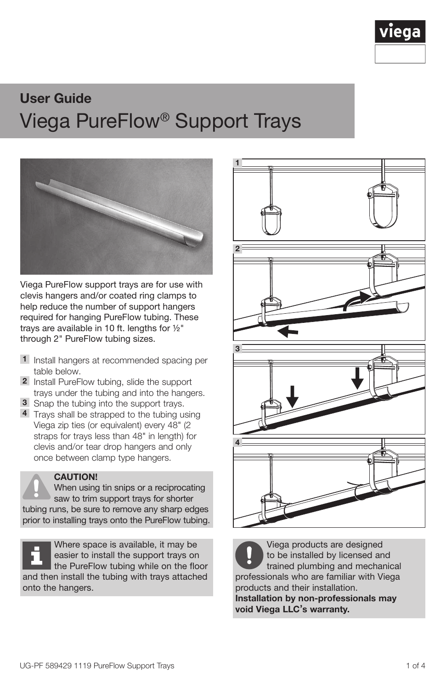# User Guide Viega PureFlow® Support Trays



Viega PureFlow support trays are for use with clevis hangers and/or coated ring clamps to help reduce the number of support hangers required for hanging PureFlow tubing. These trays are available in 10 ft. lengths for ½ through 2" PureFlow tubing sizes.

- 1 Install hangers at recommended spacing per table below.
- 2 Install PureFlow tubing, slide the support trays under the tubing and into the hangers.
- 3 Snap the tubing into the support trays.
- 4 Trays shall be strapped to the tubing using Viega zip ties (or equivalent) every 48" (2 straps for trays less than 48" in length) for clevis and/or tear drop hangers and only once between clamp type hangers.

#### CAUTION!

When using tin snips or a reciprocating saw to trim support trays for shorter tubing runs, be sure to remove any sharp edges prior to installing trays onto the PureFlow tubing.

Where space is available, it may be easier to install the support trays on the PureFlow tubing while on the floor and then install the tubing with trays attached onto the hangers.



Viega products are designed to be installed by licensed and trained plumbing and mechanical professionals who are familiar with Viega products and their installation. Installation by non-professionals may

void Viega LLC's warranty.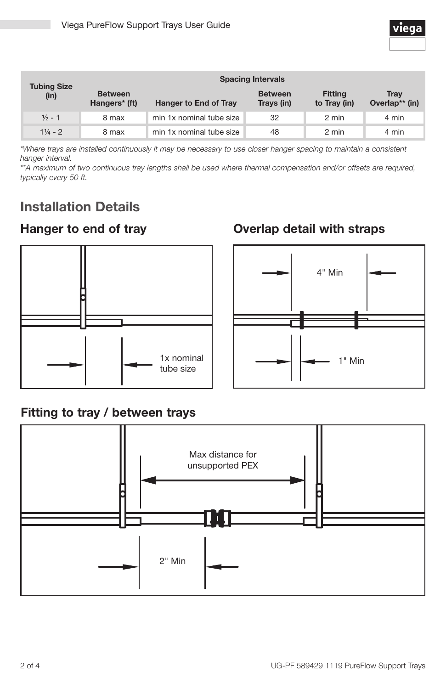| <b>Tubing Size</b><br>(in) | <b>Spacing Intervals</b>        |                          |                              |                                |                               |
|----------------------------|---------------------------------|--------------------------|------------------------------|--------------------------------|-------------------------------|
|                            | <b>Between</b><br>Hangers* (ft) | Hanger to End of Tray    | <b>Between</b><br>Trays (in) | <b>Fitting</b><br>to Tray (in) | <b>Trav</b><br>Overlap** (in) |
| $\frac{1}{2}$ - 1          | 8 max                           | min 1x nominal tube size | 32                           | 2 min                          | 4 min                         |
| $1\frac{1}{4}$ - 2         | 8 max                           | min 1x nominal tube size | 48                           | 2 min                          | 4 min                         |

*\*Where trays are installed continuously it may be necessary to use closer hanger spacing to maintain a consistent hanger interval.*

\*\*A maximum of two continuous tray lengths shall be used where thermal compensation and/or offsets are required, *typically every 50 ft.*

# Installation Details

### Hanger to end of tray



# Overlap detail with straps



#### Fitting to tray / between trays

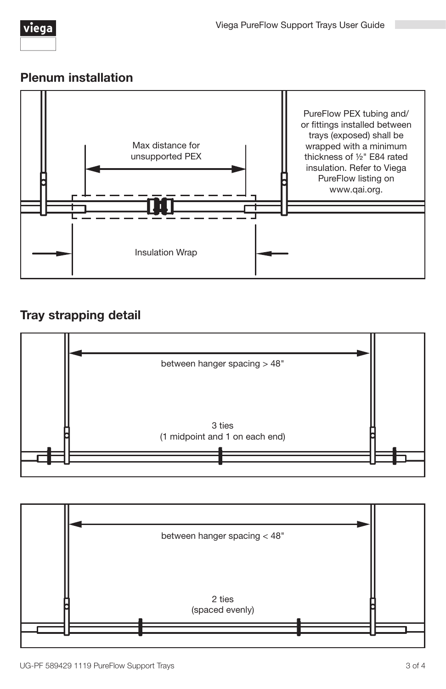#### Plenum installation



## Tray strapping detail